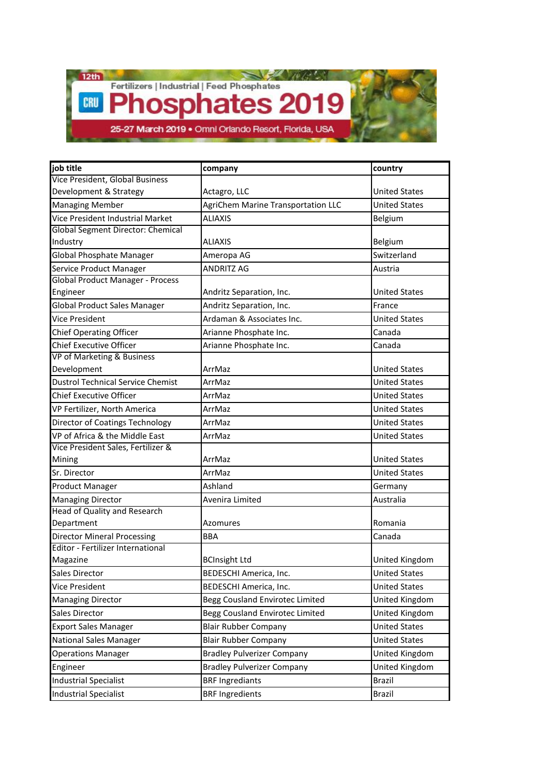CRU

Fertilizers | Industrial | Feed Phosphates

Phosphates 2019

25-27 March 2019 . Omni Orlando Resort, Florida, USA

| job title                                | company                                   | country              |
|------------------------------------------|-------------------------------------------|----------------------|
| Vice President, Global Business          |                                           |                      |
| Development & Strategy                   | Actagro, LLC                              | <b>United States</b> |
| <b>Managing Member</b>                   | <b>AgriChem Marine Transportation LLC</b> | <b>United States</b> |
| Vice President Industrial Market         | <b>ALIAXIS</b>                            | Belgium              |
| Global Segment Director: Chemical        |                                           |                      |
| Industry                                 | ALIAXIS                                   | Belgium              |
| <b>Global Phosphate Manager</b>          | Ameropa AG                                | Switzerland          |
| Service Product Manager                  | <b>ANDRITZ AG</b>                         | Austria              |
| <b>Global Product Manager - Process</b>  |                                           |                      |
| Engineer                                 | Andritz Separation, Inc.                  | <b>United States</b> |
| <b>Global Product Sales Manager</b>      | Andritz Separation, Inc.                  | France               |
| <b>Vice President</b>                    | Ardaman & Associates Inc.                 | <b>United States</b> |
| <b>Chief Operating Officer</b>           | Arianne Phosphate Inc.                    | Canada               |
| <b>Chief Executive Officer</b>           | Arianne Phosphate Inc.                    | Canada               |
| VP of Marketing & Business               |                                           |                      |
| Development                              | ArrMaz                                    | <b>United States</b> |
| <b>Dustrol Technical Service Chemist</b> | ArrMaz                                    | <b>United States</b> |
| <b>Chief Executive Officer</b>           | ArrMaz                                    | <b>United States</b> |
| VP Fertilizer, North America             | ArrMaz                                    | <b>United States</b> |
| Director of Coatings Technology          | ArrMaz                                    | <b>United States</b> |
| VP of Africa & the Middle East           | ArrMaz                                    | <b>United States</b> |
| Vice President Sales, Fertilizer &       |                                           |                      |
| Mining                                   | ArrMaz                                    | <b>United States</b> |
| Sr. Director                             | ArrMaz                                    | <b>United States</b> |
| <b>Product Manager</b>                   | Ashland                                   | Germany              |
| <b>Managing Director</b>                 | Avenira Limited                           | Australia            |
| <b>Head of Quality and Research</b>      |                                           |                      |
| Department                               | Azomures                                  | Romania              |
| <b>Director Mineral Processing</b>       | <b>BBA</b>                                | Canada               |
| <b>Editor - Fertilizer International</b> |                                           |                      |
| Magazine                                 | <b>BCInsight Ltd</b>                      | United Kingdom       |
| <b>Sales Director</b>                    | BEDESCHI America, Inc.                    | <b>United States</b> |
| <b>Vice President</b>                    | BEDESCHI America, Inc.                    | <b>United States</b> |
| <b>Managing Director</b>                 | Begg Cousland Envirotec Limited           | United Kingdom       |
| <b>Sales Director</b>                    | Begg Cousland Envirotec Limited           | United Kingdom       |
| <b>Export Sales Manager</b>              | <b>Blair Rubber Company</b>               | <b>United States</b> |
| <b>National Sales Manager</b>            | <b>Blair Rubber Company</b>               | <b>United States</b> |
| <b>Operations Manager</b>                | <b>Bradley Pulverizer Company</b>         | United Kingdom       |
| Engineer                                 | <b>Bradley Pulverizer Company</b>         | United Kingdom       |
| <b>Industrial Specialist</b>             | <b>BRF Ingrediants</b>                    | <b>Brazil</b>        |
| <b>Industrial Specialist</b>             | <b>BRF Ingredients</b>                    | Brazil               |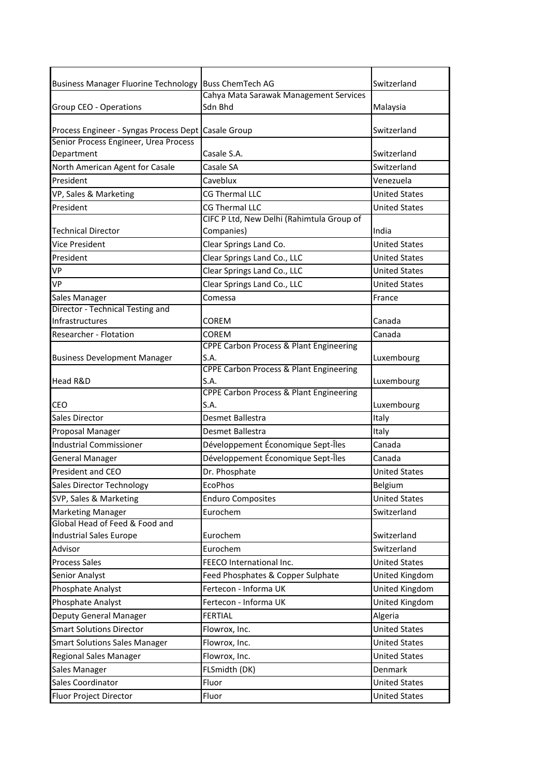| Business Manager Fluorine Technology   Buss ChemTech AG |                                                            | Switzerland          |
|---------------------------------------------------------|------------------------------------------------------------|----------------------|
|                                                         | Cahya Mata Sarawak Management Services                     |                      |
| Group CEO - Operations                                  | Sdn Bhd                                                    | Malaysia             |
| Process Engineer - Syngas Process Dept Casale Group     |                                                            | Switzerland          |
| Senior Process Engineer, Urea Process                   |                                                            |                      |
| Department                                              | Casale S.A.                                                | Switzerland          |
| North American Agent for Casale                         | Casale SA                                                  | Switzerland          |
| President                                               | Caveblux                                                   | Venezuela            |
| VP, Sales & Marketing                                   | CG Thermal LLC                                             | <b>United States</b> |
| President                                               | <b>CG Thermal LLC</b>                                      | <b>United States</b> |
|                                                         | CIFC P Ltd, New Delhi (Rahimtula Group of                  |                      |
| <b>Technical Director</b>                               | Companies)                                                 | India                |
| <b>Vice President</b>                                   | Clear Springs Land Co.                                     | <b>United States</b> |
| President                                               | Clear Springs Land Co., LLC                                | <b>United States</b> |
| VP                                                      | Clear Springs Land Co., LLC                                | <b>United States</b> |
| VP                                                      | Clear Springs Land Co., LLC                                | <b>United States</b> |
| Sales Manager                                           | Comessa                                                    | France               |
| Director - Technical Testing and                        |                                                            |                      |
| Infrastructures                                         | COREM                                                      | Canada               |
| Researcher - Flotation                                  | <b>COREM</b>                                               | Canada               |
|                                                         | <b>CPPE Carbon Process &amp; Plant Engineering</b>         |                      |
| <b>Business Development Manager</b>                     | S.A.                                                       | Luxembourg           |
|                                                         | <b>CPPE Carbon Process &amp; Plant Engineering</b>         |                      |
| Head R&D                                                | S.A.                                                       | Luxembourg           |
| CEO                                                     | <b>CPPE Carbon Process &amp; Plant Engineering</b><br>S.A. | Luxembourg           |
| <b>Sales Director</b>                                   | Desmet Ballestra                                           | Italy                |
| Proposal Manager                                        | Desmet Ballestra                                           | Italy                |
|                                                         | Développement Économique Sept-Îles                         | Canada               |
| <b>Industrial Commissioner</b>                          |                                                            |                      |
| General Manager                                         | Développement Économique Sept-Îles                         | Canada               |
| President and CEO                                       | Dr. Phosphate                                              | <b>United States</b> |
| <b>Sales Director Technology</b>                        | <b>EcoPhos</b>                                             | Belgium              |
| SVP, Sales & Marketing                                  | <b>Enduro Composites</b>                                   | <b>United States</b> |
| <b>Marketing Manager</b>                                | Eurochem                                                   | Switzerland          |
| Global Head of Feed & Food and                          |                                                            |                      |
| <b>Industrial Sales Europe</b>                          | Eurochem                                                   | Switzerland          |
| Advisor                                                 | Eurochem                                                   | Switzerland          |
| <b>Process Sales</b>                                    | FEECO International Inc.                                   | <b>United States</b> |
| Senior Analyst                                          | Feed Phosphates & Copper Sulphate                          | United Kingdom       |
| Phosphate Analyst                                       | Fertecon - Informa UK                                      | United Kingdom       |
| Phosphate Analyst                                       | Fertecon - Informa UK                                      | United Kingdom       |
| Deputy General Manager                                  | <b>FERTIAL</b>                                             | Algeria              |
| <b>Smart Solutions Director</b>                         | Flowrox, Inc.                                              | <b>United States</b> |
| <b>Smart Solutions Sales Manager</b>                    | Flowrox, Inc.                                              | <b>United States</b> |
| Regional Sales Manager                                  | Flowrox, Inc.                                              | <b>United States</b> |
| Sales Manager                                           | FLSmidth (DK)                                              | Denmark              |
| Sales Coordinator                                       | Fluor                                                      | <b>United States</b> |
| Fluor Project Director                                  | Fluor                                                      | <b>United States</b> |
|                                                         |                                                            |                      |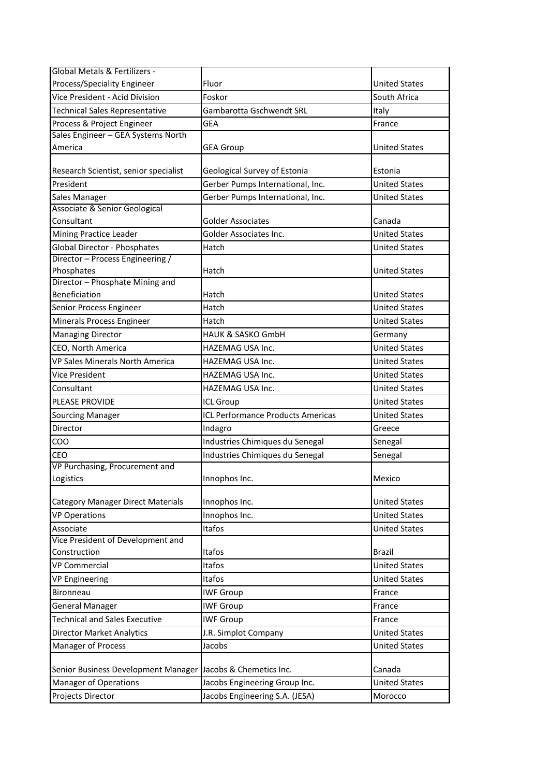| Global Metals & Fertilizers -                               |                                   |                      |
|-------------------------------------------------------------|-----------------------------------|----------------------|
| Process/Speciality Engineer                                 | Fluor                             | <b>United States</b> |
| Vice President - Acid Division                              | Foskor                            | South Africa         |
| Technical Sales Representative                              | Gambarotta Gschwendt SRL          | Italy                |
| Process & Project Engineer                                  | <b>GEA</b>                        | France               |
| Sales Engineer - GEA Systems North                          |                                   |                      |
| America                                                     | <b>GEA Group</b>                  | <b>United States</b> |
| Research Scientist, senior specialist                       | Geological Survey of Estonia      | Estonia              |
| President                                                   | Gerber Pumps International, Inc.  | <b>United States</b> |
| Sales Manager                                               | Gerber Pumps International, Inc.  | <b>United States</b> |
| Associate & Senior Geological                               |                                   |                      |
| Consultant                                                  | Golder Associates                 | Canada               |
| Mining Practice Leader                                      | Golder Associates Inc.            | <b>United States</b> |
| <b>Global Director - Phosphates</b>                         | Hatch                             | <b>United States</b> |
| Director - Process Engineering /                            |                                   |                      |
| Phosphates                                                  | Hatch                             | <b>United States</b> |
| Director - Phosphate Mining and                             |                                   |                      |
| Beneficiation                                               | Hatch                             | <b>United States</b> |
| Senior Process Engineer                                     | Hatch                             | <b>United States</b> |
| Minerals Process Engineer                                   | Hatch                             | <b>United States</b> |
| <b>Managing Director</b>                                    | HAUK & SASKO GmbH                 | Germany              |
| CEO, North America                                          | HAZEMAG USA Inc.                  | <b>United States</b> |
| VP Sales Minerals North America                             | HAZEMAG USA Inc.                  | <b>United States</b> |
| Vice President                                              | HAZEMAG USA Inc.                  | <b>United States</b> |
| Consultant                                                  | HAZEMAG USA Inc.                  | <b>United States</b> |
| PLEASE PROVIDE                                              | <b>ICL Group</b>                  | <b>United States</b> |
| <b>Sourcing Manager</b>                                     | ICL Performance Products Americas | <b>United States</b> |
| Director                                                    | Indagro                           | Greece               |
| COO                                                         | Industries Chimiques du Senegal   |                      |
|                                                             |                                   | Senegal              |
| CEO<br>VP Purchasing, Procurement and                       | Industries Chimiques du Senegal   | Senegal              |
|                                                             | Innophos Inc.                     | Mexico               |
| Logistics                                                   |                                   |                      |
| <b>Category Manager Direct Materials</b>                    | Innophos Inc.                     | <b>United States</b> |
| <b>VP Operations</b>                                        | Innophos Inc.                     | <b>United States</b> |
| Associate                                                   | Itafos                            | <b>United States</b> |
| Vice President of Development and                           |                                   |                      |
| Construction                                                | Itafos                            | <b>Brazil</b>        |
| <b>VP Commercial</b>                                        | Itafos                            | <b>United States</b> |
| <b>VP Engineering</b>                                       | Itafos                            | <b>United States</b> |
| <b>Bironneau</b>                                            | <b>IWF Group</b>                  | France               |
| <b>General Manager</b>                                      | <b>IWF Group</b>                  | France               |
| <b>Technical and Sales Executive</b>                        | <b>IWF Group</b>                  | France               |
| <b>Director Market Analytics</b>                            | J.R. Simplot Company              | <b>United States</b> |
| Manager of Process                                          | Jacobs                            | <b>United States</b> |
|                                                             |                                   |                      |
| Senior Business Development Manager Jacobs & Chemetics Inc. |                                   | Canada               |
| <b>Manager of Operations</b>                                | Jacobs Engineering Group Inc.     | <b>United States</b> |
| Projects Director                                           | Jacobs Engineering S.A. (JESA)    | Morocco              |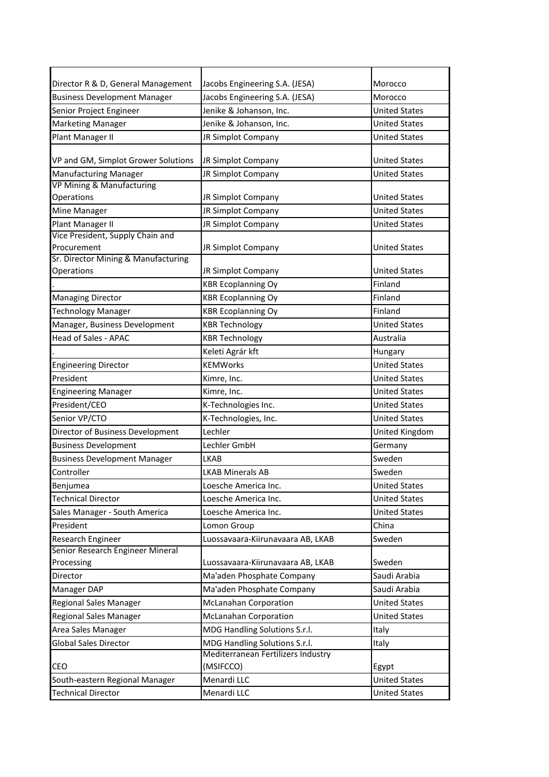| Director R & D, General Management  | Jacobs Engineering S.A. (JESA)     | Morocco              |
|-------------------------------------|------------------------------------|----------------------|
|                                     |                                    |                      |
| <b>Business Development Manager</b> | Jacobs Engineering S.A. (JESA)     | Morocco              |
| Senior Project Engineer             | Jenike & Johanson, Inc.            | <b>United States</b> |
| <b>Marketing Manager</b>            | Jenike & Johanson, Inc.            | <b>United States</b> |
| Plant Manager II                    | JR Simplot Company                 | <b>United States</b> |
| VP and GM, Simplot Grower Solutions | JR Simplot Company                 | <b>United States</b> |
| Manufacturing Manager               | JR Simplot Company                 | United States        |
| VP Mining & Manufacturing           |                                    |                      |
| Operations                          | JR Simplot Company                 | <b>United States</b> |
| Mine Manager                        | JR Simplot Company                 | <b>United States</b> |
| Plant Manager II                    | JR Simplot Company                 | <b>United States</b> |
| Vice President, Supply Chain and    |                                    |                      |
| Procurement                         | JR Simplot Company                 | <b>United States</b> |
| Sr. Director Mining & Manufacturing |                                    |                      |
| Operations                          | JR Simplot Company                 | <b>United States</b> |
|                                     | <b>KBR Ecoplanning Oy</b>          | Finland              |
| <b>Managing Director</b>            | <b>KBR Ecoplanning Oy</b>          | Finland              |
| <b>Technology Manager</b>           | <b>KBR Ecoplanning Oy</b>          | Finland              |
| Manager, Business Development       | <b>KBR Technology</b>              | <b>United States</b> |
| <b>Head of Sales - APAC</b>         | <b>KBR Technology</b>              | Australia            |
|                                     | Keleti Agrár kft                   | Hungary              |
| <b>Engineering Director</b>         | <b>KEMWorks</b>                    | <b>United States</b> |
| President                           | Kimre, Inc.                        | <b>United States</b> |
| <b>Engineering Manager</b>          | Kimre, Inc.                        | <b>United States</b> |
| President/CEO                       | K-Technologies Inc.                | <b>United States</b> |
| Senior VP/CTO                       | K-Technologies, Inc.               | <b>United States</b> |
| Director of Business Development    | Lechler                            | United Kingdom       |
| <b>Business Development</b>         | Lechler GmbH                       | Germany              |
| <b>Business Development Manager</b> | LKAB                               | Sweden               |
| Controller                          | <b>LKAB Minerals AB</b>            | Sweden               |
| Benjumea                            | Loesche America Inc.               | <b>United States</b> |
| <b>Technical Director</b>           |                                    | <b>United States</b> |
|                                     | Loesche America Inc.               |                      |
| Sales Manager - South America       | Loesche America Inc.               | <b>United States</b> |
| President                           | Lomon Group                        | China                |
| Research Engineer                   | Luossavaara-Kiirunavaara AB, LKAB  | Sweden               |
| Senior Research Engineer Mineral    |                                    |                      |
| Processing                          | Luossavaara-Kiirunavaara AB, LKAB  | Sweden               |
| Director                            | Ma'aden Phosphate Company          | Saudi Arabia         |
| Manager DAP                         | Ma'aden Phosphate Company          | Saudi Arabia         |
| Regional Sales Manager              | <b>McLanahan Corporation</b>       | <b>United States</b> |
| Regional Sales Manager              | <b>McLanahan Corporation</b>       | <b>United States</b> |
| Area Sales Manager                  | MDG Handling Solutions S.r.l.      | Italy                |
| <b>Global Sales Director</b>        | MDG Handling Solutions S.r.l.      | Italy                |
|                                     | Mediterranean Fertilizers Industry |                      |
| CEO                                 | (MSIFCCO)                          | Egypt                |
| South-eastern Regional Manager      | Menardi LLC                        | <b>United States</b> |
| <b>Technical Director</b>           | Menardi LLC                        | <b>United States</b> |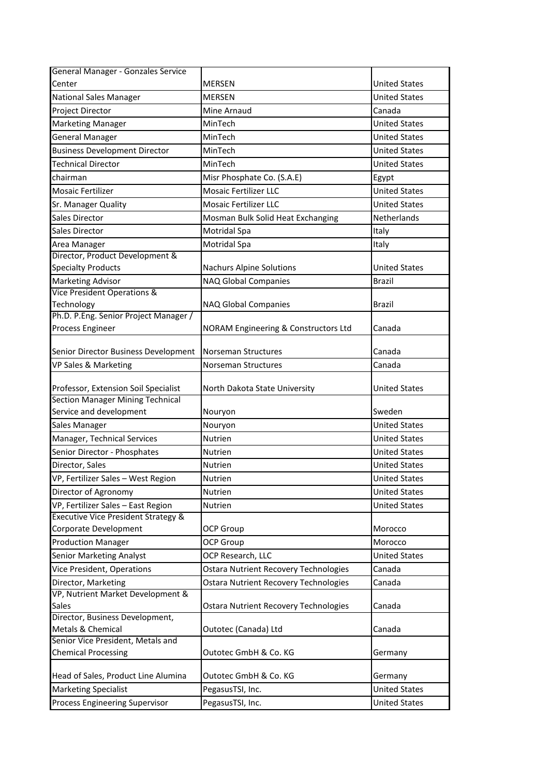| General Manager - Gonzales Service              |                                              |                      |
|-------------------------------------------------|----------------------------------------------|----------------------|
| Center                                          | <b>MERSEN</b>                                | <b>United States</b> |
| <b>National Sales Manager</b>                   | <b>MERSEN</b>                                | <b>United States</b> |
| Project Director                                | Mine Arnaud                                  | Canada               |
| <b>Marketing Manager</b>                        | MinTech                                      | <b>United States</b> |
| <b>General Manager</b>                          | MinTech                                      | <b>United States</b> |
| <b>Business Development Director</b>            | MinTech                                      | <b>United States</b> |
| <b>Technical Director</b>                       | MinTech                                      | <b>United States</b> |
| chairman                                        | Misr Phosphate Co. (S.A.E)                   | Egypt                |
| <b>Mosaic Fertilizer</b>                        | <b>Mosaic Fertilizer LLC</b>                 | <b>United States</b> |
| Sr. Manager Quality                             | <b>Mosaic Fertilizer LLC</b>                 | <b>United States</b> |
| <b>Sales Director</b>                           | Mosman Bulk Solid Heat Exchanging            | Netherlands          |
| <b>Sales Director</b>                           | Motridal Spa                                 | Italy                |
| Area Manager                                    | Motridal Spa                                 | Italy                |
| Director, Product Development &                 |                                              |                      |
| <b>Specialty Products</b>                       | <b>Nachurs Alpine Solutions</b>              | <b>United States</b> |
| <b>Marketing Advisor</b>                        | <b>NAQ Global Companies</b>                  | <b>Brazil</b>        |
| Vice President Operations &                     |                                              |                      |
| Technology                                      | NAQ Global Companies                         | <b>Brazil</b>        |
| Ph.D. P.Eng. Senior Project Manager /           |                                              |                      |
| Process Engineer                                | NORAM Engineering & Constructors Ltd         | Canada               |
| Senior Director Business Development            | Norseman Structures                          | Canada               |
| VP Sales & Marketing                            | Norseman Structures                          | Canada               |
|                                                 |                                              |                      |
| Professor, Extension Soil Specialist            | North Dakota State University                | <b>United States</b> |
| <b>Section Manager Mining Technical</b>         |                                              |                      |
| Service and development                         | Nouryon                                      | Sweden               |
| Sales Manager                                   | Nouryon                                      | <b>United States</b> |
| Manager, Technical Services                     | Nutrien                                      | <b>United States</b> |
| Senior Director - Phosphates                    | Nutrien                                      | <b>United States</b> |
| Director, Sales                                 | Nutrien                                      | <b>United States</b> |
| VP, Fertilizer Sales - West Region              | Nutrien                                      | <b>United States</b> |
| Director of Agronomy                            | Nutrien                                      | <b>United States</b> |
| VP, Fertilizer Sales - East Region              | Nutrien                                      | <b>United States</b> |
| <b>Executive Vice President Strategy &amp;</b>  |                                              |                      |
| Corporate Development                           | <b>OCP Group</b>                             | Morocco              |
| <b>Production Manager</b>                       | <b>OCP Group</b>                             | Morocco              |
| <b>Senior Marketing Analyst</b>                 | OCP Research, LLC                            | <b>United States</b> |
| <b>Vice President, Operations</b>               | <b>Ostara Nutrient Recovery Technologies</b> | Canada               |
| Director, Marketing                             | <b>Ostara Nutrient Recovery Technologies</b> | Canada               |
| VP, Nutrient Market Development &               |                                              |                      |
| <b>Sales</b><br>Director, Business Development, | <b>Ostara Nutrient Recovery Technologies</b> | Canada               |
| Metals & Chemical                               | Outotec (Canada) Ltd                         | Canada               |
| Senior Vice President, Metals and               |                                              |                      |
| <b>Chemical Processing</b>                      | Outotec GmbH & Co. KG                        | Germany              |
| Head of Sales, Product Line Alumina             | Outotec GmbH & Co. KG                        | Germany              |
| <b>Marketing Specialist</b>                     | PegasusTSI, Inc.                             | <b>United States</b> |
| <b>Process Engineering Supervisor</b>           | PegasusTSI, Inc.                             | <b>United States</b> |
|                                                 |                                              |                      |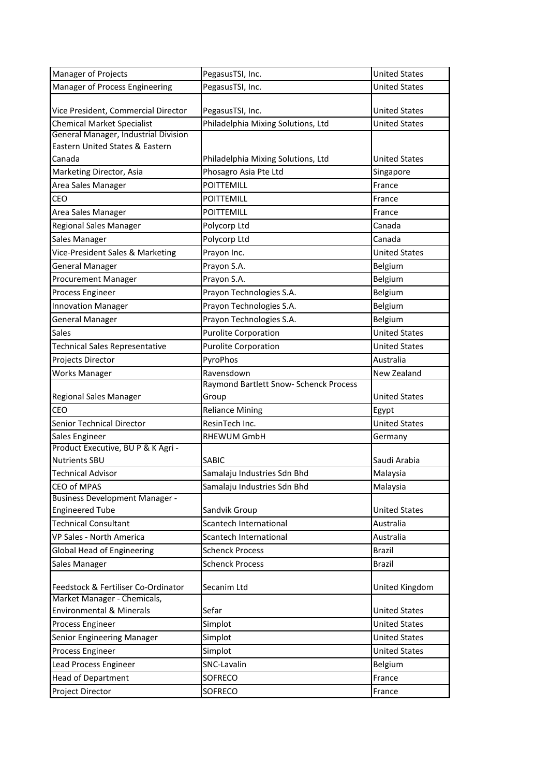| Manager of Projects                                                | PegasusTSI, Inc.                                       | <b>United States</b> |
|--------------------------------------------------------------------|--------------------------------------------------------|----------------------|
| Manager of Process Engineering                                     | PegasusTSI, Inc.                                       | <b>United States</b> |
| Vice President, Commercial Director                                |                                                        | <b>United States</b> |
| <b>Chemical Market Specialist</b>                                  | PegasusTSI, Inc.<br>Philadelphia Mixing Solutions, Ltd | <b>United States</b> |
| General Manager, Industrial Division                               |                                                        |                      |
| Eastern United States & Eastern                                    |                                                        |                      |
| Canada                                                             | Philadelphia Mixing Solutions, Ltd                     | <b>United States</b> |
| Marketing Director, Asia                                           | Phosagro Asia Pte Ltd                                  | Singapore            |
| Area Sales Manager                                                 | POITTEMILL                                             | France               |
| CEO                                                                | POITTEMILL                                             | France               |
| Area Sales Manager                                                 | POITTEMILL                                             | France               |
| Regional Sales Manager                                             | Polycorp Ltd                                           | Canada               |
| Sales Manager                                                      | Polycorp Ltd                                           | Canada               |
| Vice-President Sales & Marketing                                   | Prayon Inc.                                            | <b>United States</b> |
| <b>General Manager</b>                                             | Prayon S.A.                                            | Belgium              |
| <b>Procurement Manager</b>                                         | Prayon S.A.                                            | Belgium              |
| Process Engineer                                                   | Prayon Technologies S.A.                               | Belgium              |
| <b>Innovation Manager</b>                                          | Prayon Technologies S.A.                               | Belgium              |
| <b>General Manager</b>                                             | Prayon Technologies S.A.                               | Belgium              |
| <b>Sales</b>                                                       | <b>Purolite Corporation</b>                            | <b>United States</b> |
| <b>Technical Sales Representative</b>                              | <b>Purolite Corporation</b>                            | <b>United States</b> |
| Projects Director                                                  | PyroPhos                                               | Australia            |
| <b>Works Manager</b>                                               | Ravensdown                                             | New Zealand          |
|                                                                    | Raymond Bartlett Snow- Schenck Process                 |                      |
| Regional Sales Manager                                             | Group                                                  | <b>United States</b> |
| CEO                                                                | <b>Reliance Mining</b>                                 | Egypt                |
| <b>Senior Technical Director</b>                                   | ResinTech Inc.                                         | <b>United States</b> |
| Sales Engineer                                                     | <b>RHEWUM GmbH</b>                                     | Germany              |
| Product Executive, BU P & K Agri -<br><b>Nutrients SBU</b>         | SABIC                                                  | Saudi Arabia         |
| <b>Technical Advisor</b>                                           | Samalaju Industries Sdn Bhd                            | Malaysia             |
| <b>CEO of MPAS</b>                                                 | Samalaju Industries Sdn Bhd                            | Malaysia             |
| <b>Business Development Manager -</b>                              |                                                        |                      |
| <b>Engineered Tube</b>                                             | Sandvik Group                                          | <b>United States</b> |
| <b>Technical Consultant</b>                                        | Scantech International                                 | Australia            |
| VP Sales - North America                                           | Scantech International                                 | Australia            |
| <b>Global Head of Engineering</b>                                  | <b>Schenck Process</b>                                 | <b>Brazil</b>        |
| Sales Manager                                                      | <b>Schenck Process</b>                                 | <b>Brazil</b>        |
| Feedstock & Fertiliser Co-Ordinator                                | Secanim Ltd                                            | United Kingdom       |
| Market Manager - Chemicals,<br><b>Environmental &amp; Minerals</b> | Sefar                                                  | <b>United States</b> |
| Process Engineer                                                   | Simplot                                                | <b>United States</b> |
| Senior Engineering Manager                                         | Simplot                                                | <b>United States</b> |
| Process Engineer                                                   | Simplot                                                | <b>United States</b> |
| Lead Process Engineer                                              | SNC-Lavalin                                            | Belgium              |
| <b>Head of Department</b>                                          | SOFRECO                                                | France               |
| Project Director                                                   | SOFRECO                                                | France               |
|                                                                    |                                                        |                      |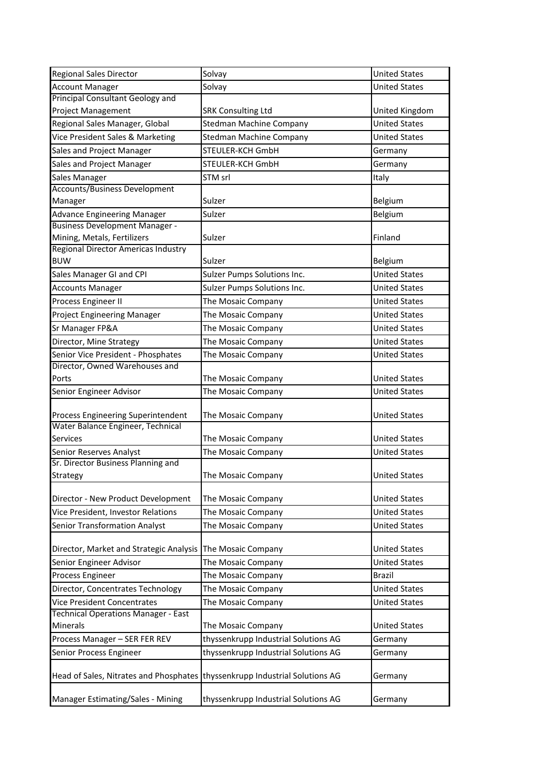| <b>Regional Sales Director</b>                                                | Solvay                               | <b>United States</b> |
|-------------------------------------------------------------------------------|--------------------------------------|----------------------|
| <b>Account Manager</b>                                                        | Solvay                               | <b>United States</b> |
| <b>Principal Consultant Geology and</b>                                       |                                      |                      |
| <b>Project Management</b>                                                     | <b>SRK Consulting Ltd</b>            | United Kingdom       |
| Regional Sales Manager, Global                                                | <b>Stedman Machine Company</b>       | <b>United States</b> |
| Vice President Sales & Marketing                                              | <b>Stedman Machine Company</b>       | <b>United States</b> |
| Sales and Project Manager                                                     | STEULER-KCH GmbH                     | Germany              |
| Sales and Project Manager                                                     | <b>STEULER-KCH GmbH</b>              | Germany              |
| Sales Manager                                                                 | STM srl                              | Italy                |
| <b>Accounts/Business Development</b>                                          |                                      |                      |
| Manager                                                                       | Sulzer                               | Belgium              |
| <b>Advance Engineering Manager</b>                                            | Sulzer                               | Belgium              |
| <b>Business Development Manager -</b>                                         |                                      |                      |
| Mining, Metals, Fertilizers                                                   | Sulzer                               | Finland              |
| Regional Director Americas Industry                                           |                                      |                      |
| <b>BUW</b>                                                                    | Sulzer                               | Belgium              |
| Sales Manager GI and CPI                                                      | Sulzer Pumps Solutions Inc.          | <b>United States</b> |
| <b>Accounts Manager</b>                                                       | Sulzer Pumps Solutions Inc.          | <b>United States</b> |
| Process Engineer II                                                           | The Mosaic Company                   | <b>United States</b> |
| <b>Project Engineering Manager</b>                                            | The Mosaic Company                   | <b>United States</b> |
| Sr Manager FP&A                                                               | The Mosaic Company                   | <b>United States</b> |
| Director, Mine Strategy                                                       | The Mosaic Company                   | <b>United States</b> |
| Senior Vice President - Phosphates                                            | The Mosaic Company                   | <b>United States</b> |
| Director, Owned Warehouses and                                                |                                      |                      |
| Ports                                                                         | The Mosaic Company                   | <b>United States</b> |
| Senior Engineer Advisor                                                       | The Mosaic Company                   | <b>United States</b> |
| Process Engineering Superintendent                                            | The Mosaic Company                   | <b>United States</b> |
| Water Balance Engineer, Technical                                             |                                      |                      |
| <b>Services</b>                                                               | The Mosaic Company                   | <b>United States</b> |
| Senior Reserves Analyst                                                       | The Mosaic Company                   | <b>United States</b> |
| Sr. Director Business Planning and                                            |                                      |                      |
| Strategy                                                                      | The Mosaic Company                   | <b>United States</b> |
|                                                                               |                                      |                      |
| Director - New Product Development                                            | The Mosaic Company                   | <b>United States</b> |
| Vice President, Investor Relations                                            | The Mosaic Company                   | <b>United States</b> |
| <b>Senior Transformation Analyst</b>                                          | The Mosaic Company                   | <b>United States</b> |
|                                                                               |                                      |                      |
| Director, Market and Strategic Analysis                                       | The Mosaic Company                   | <b>United States</b> |
| Senior Engineer Advisor                                                       | The Mosaic Company                   | <b>United States</b> |
| Process Engineer                                                              | The Mosaic Company                   | <b>Brazil</b>        |
| Director, Concentrates Technology                                             | The Mosaic Company                   | <b>United States</b> |
| <b>Vice President Concentrates</b>                                            | The Mosaic Company                   | <b>United States</b> |
| <b>Technical Operations Manager - East</b><br>Minerals                        | The Mosaic Company                   | <b>United States</b> |
| Process Manager - SER FER REV                                                 | thyssenkrupp Industrial Solutions AG | Germany              |
| Senior Process Engineer                                                       | thyssenkrupp Industrial Solutions AG | Germany              |
| Head of Sales, Nitrates and Phosphates   thyssenkrupp Industrial Solutions AG |                                      | Germany              |
| <b>Manager Estimating/Sales - Mining</b>                                      | thyssenkrupp Industrial Solutions AG | Germany              |